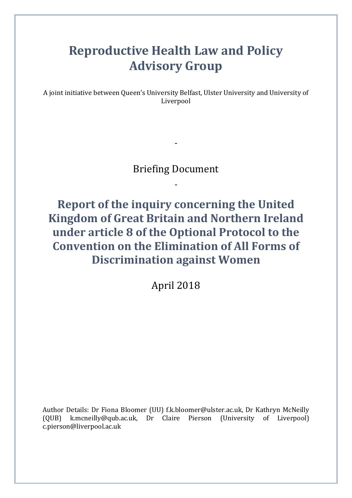# **Reproductive Health Law and Policy Advisory Group**

A joint initiative between Queen's University Belfast, Ulster University and University of Liverpool

# Briefing Document

**Report of the inquiry concerning the United Kingdom of Great Britain and Northern Ireland under article 8 of the Optional Protocol to the Convention on the Elimination of All Forms of Discrimination against Women**

April 2018

Author Details: Dr Fiona Bloomer (UU) f.k.bloomer@ulster.ac.uk, Dr Kathryn McNeilly (QUB) k.mcneilly@qub.ac.uk, Dr Claire Pierson (University of Liverpool) c.pierson@liverpool.ac.uk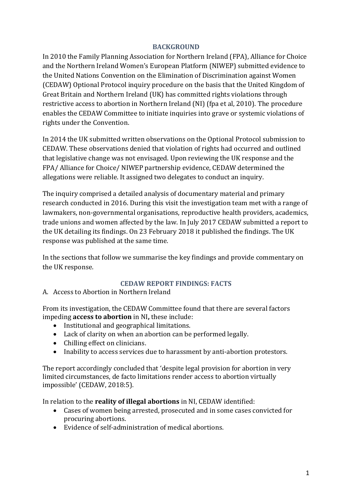#### **BACKGROUND**

In 2010 the Family Planning Association for Northern Ireland (FPA), Alliance for Choice and the Northern Ireland Women's European Platform (NIWEP) submitted evidence to the United Nations Convention on the Elimination of Discrimination against Women (CEDAW) Optional Protocol inquiry procedure on the basis that the United Kingdom of Great Britain and Northern Ireland (UK) has committed rights violations through restrictive access to abortion in Northern Ireland (NI) (fpa et al, 2010). The procedure enables the CEDAW Committee to initiate inquiries into grave or systemic violations of rights under the Convention.

In 2014 the UK submitted written observations on the Optional Protocol submission to CEDAW. These observations denied that violation of rights had occurred and outlined that legislative change was not envisaged. Upon reviewing the UK response and the FPA/ Alliance for Choice/ NIWEP partnership evidence, CEDAW determined the allegations were reliable. It assigned two delegates to conduct an inquiry.

The inquiry comprised a detailed analysis of documentary material and primary research conducted in 2016. During this visit the investigation team met with a range of lawmakers, non-governmental organisations, reproductive health providers, academics, trade unions and women affected by the law. In July 2017 CEDAW submitted a report to the UK detailing its findings. On 23 February 2018 it published the findings. The UK response was published at the same time.

In the sections that follow we summarise the key findings and provide commentary on the UK response.

#### **CEDAW REPORT FINDINGS: FACTS**

A. Access to Abortion in Northern Ireland

From its investigation, the CEDAW Committee found that there are several factors impeding **access to abortion** in NI**,** these include:

- Institutional and geographical limitations.
- Lack of clarity on when an abortion can be performed legally.
- Chilling effect on clinicians.
- Inability to access services due to harassment by anti-abortion protestors.

The report accordingly concluded that 'despite legal provision for abortion in very limited circumstances, de facto limitations render access to abortion virtually impossible' (CEDAW, 2018:5).

In relation to the **reality of illegal abortions** in NI, CEDAW identified:

- Cases of women being arrested, prosecuted and in some cases convicted for procuring abortions.
- Evidence of self-administration of medical abortions.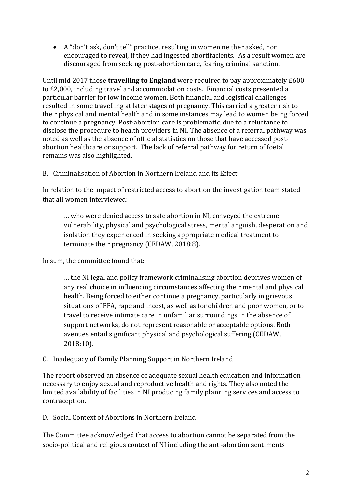A "don't ask, don't tell" practice, resulting in women neither asked, nor encouraged to reveal, if they had ingested abortifacients. As a result women are discouraged from seeking post-abortion care, fearing criminal sanction.

Until mid 2017 those **travelling to England** were required to pay approximately £600 to £2,000, including travel and accommodation costs. Financial costs presented a particular barrier for low income women. Both financial and logistical challenges resulted in some travelling at later stages of pregnancy. This carried a greater risk to their physical and mental health and in some instances may lead to women being forced to continue a pregnancy. Post-abortion care is problematic, due to a reluctance to disclose the procedure to health providers in NI. The absence of a referral pathway was noted as well as the absence of official statistics on those that have accessed postabortion healthcare or support. The lack of referral pathway for return of foetal remains was also highlighted.

B. Criminalisation of Abortion in Northern Ireland and its Effect

In relation to the impact of restricted access to abortion the investigation team stated that all women interviewed:

… who were denied access to safe abortion in NI, conveyed the extreme vulnerability, physical and psychological stress, mental anguish, desperation and isolation they experienced in seeking appropriate medical treatment to terminate their pregnancy (CEDAW, 2018:8).

In sum, the committee found that:

… the NI legal and policy framework criminalising abortion deprives women of any real choice in influencing circumstances affecting their mental and physical health. Being forced to either continue a pregnancy, particularly in grievous situations of FFA, rape and incest, as well as for children and poor women, or to travel to receive intimate care in unfamiliar surroundings in the absence of support networks, do not represent reasonable or acceptable options. Both avenues entail significant physical and psychological suffering (CEDAW, 2018:10).

# C. Inadequacy of Family Planning Support in Northern Ireland

The report observed an absence of adequate sexual health education and information necessary to enjoy sexual and reproductive health and rights. They also noted the limited availability of facilities in NI producing family planning services and access to contraception.

D. Social Context of Abortions in Northern Ireland

The Committee acknowledged that access to abortion cannot be separated from the socio-political and religious context of NI including the anti-abortion sentiments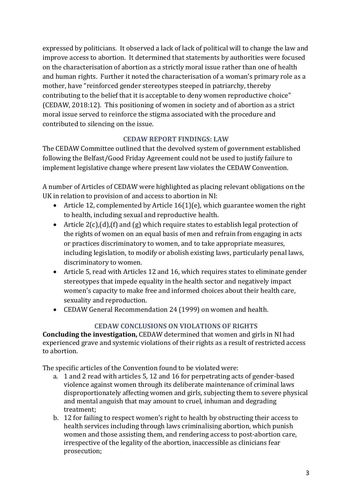expressed by politicians. It observed a lack of lack of political will to change the law and improve access to abortion. It determined that statements by authorities were focused on the characterisation of abortion as a strictly moral issue rather than one of health and human rights. Further it noted the characterisation of a woman's primary role as a mother, have "reinforced gender stereotypes steeped in patriarchy, thereby contributing to the belief that it is acceptable to deny women reproductive choice" (CEDAW, 2018:12). This positioning of women in society and of abortion as a strict moral issue served to reinforce the stigma associated with the procedure and contributed to silencing on the issue.

# **CEDAW REPORT FINDINGS: LAW**

The CEDAW Committee outlined that the devolved system of government established following the Belfast/Good Friday Agreement could not be used to justify failure to implement legislative change where present law violates the CEDAW Convention.

A number of Articles of CEDAW were highlighted as placing relevant obligations on the UK in relation to provision of and access to abortion in NI:

- Article 12, complemented by Article  $16(1)(e)$ , which guarantee women the right to health, including sexual and reproductive health.
- Article  $2(c)$ , (d), (f) and (g) which require states to establish legal protection of the rights of women on an equal basis of men and refrain from engaging in acts or practices discriminatory to women, and to take appropriate measures, including legislation, to modify or abolish existing laws, particularly penal laws, discriminatory to women.
- Article 5, read with Articles 12 and 16, which requires states to eliminate gender stereotypes that impede equality in the health sector and negatively impact women's capacity to make free and informed choices about their health care, sexuality and reproduction.
- CEDAW General Recommendation 24 (1999) on women and health.

# **CEDAW CONCLUSIONS ON VIOLATIONS OF RIGHTS**

**Concluding the investigation,** CEDAW determined that women and girls in NI had experienced grave and systemic violations of their rights as a result of restricted access to abortion.

The specific articles of the Convention found to be violated were:

- a. 1 and 2 read with articles 5, 12 and 16 for perpetrating acts of gender-based violence against women through its deliberate maintenance of criminal laws disproportionately affecting women and girls, subjecting them to severe physical and mental anguish that may amount to cruel, inhuman and degrading treatment;
- b. 12 for failing to respect women's right to health by obstructing their access to health services including through laws criminalising abortion, which punish women and those assisting them, and rendering access to post-abortion care, irrespective of the legality of the abortion, inaccessible as clinicians fear prosecution;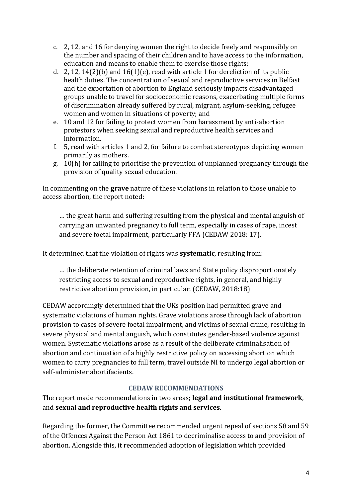- c. 2, 12, and 16 for denying women the right to decide freely and responsibly on the number and spacing of their children and to have access to the information, education and means to enable them to exercise those rights;
- d. 2, 12, 14(2)(b) and  $16(1)$ (e), read with article 1 for dereliction of its public health duties. The concentration of sexual and reproductive services in Belfast and the exportation of abortion to England seriously impacts disadvantaged groups unable to travel for socioeconomic reasons, exacerbating multiple forms of discrimination already suffered by rural, migrant, asylum-seeking, refugee women and women in situations of poverty; and
- e. 10 and 12 for failing to protect women from harassment by anti-abortion protestors when seeking sexual and reproductive health services and information.
- f. 5, read with articles 1 and 2, for failure to combat stereotypes depicting women primarily as mothers.
- g. 10(h) for failing to prioritise the prevention of unplanned pregnancy through the provision of quality sexual education.

In commenting on the **grave** nature of these violations in relation to those unable to access abortion, the report noted:

… the great harm and suffering resulting from the physical and mental anguish of carrying an unwanted pregnancy to full term, especially in cases of rape, incest and severe foetal impairment, particularly FFA (CEDAW 2018: 17).

It determined that the violation of rights was **systematic**, resulting from:

… the deliberate retention of criminal laws and State policy disproportionately restricting access to sexual and reproductive rights, in general, and highly restrictive abortion provision, in particular. (CEDAW, 2018:18)

CEDAW accordingly determined that the UKs position had permitted grave and systematic violations of human rights. Grave violations arose through lack of abortion provision to cases of severe foetal impairment, and victims of sexual crime, resulting in severe physical and mental anguish, which constitutes gender-based violence against women. Systematic violations arose as a result of the deliberate criminalisation of abortion and continuation of a highly restrictive policy on accessing abortion which women to carry pregnancies to full term, travel outside NI to undergo legal abortion or self-administer abortifacients.

# **CEDAW RECOMMENDATIONS**

The report made recommendations in two areas; **legal and institutional framework**, and **sexual and reproductive health rights and services**.

Regarding the former, the Committee recommended urgent repeal of sections 58 and 59 of the Offences Against the Person Act 1861 to decriminalise access to and provision of abortion. Alongside this, it recommended adoption of legislation which provided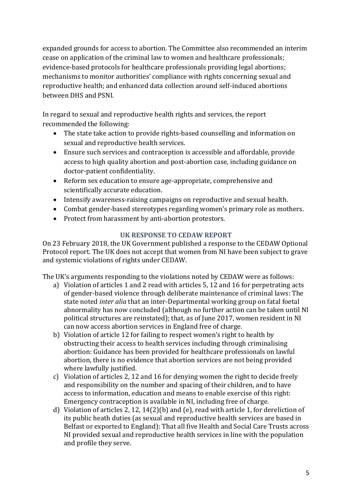expanded grounds for access to abortion. The Committee also recommended an interim cease on application of the criminal law to women and healthcare professionals; evidence-based protocols for healthcare professionals providing legal abortions; mechanisms to monitor authorities' compliance with rights concerning sexual and reproductive health; and enhanced data collection around self-induced abortions between DHS and PSNI.

In regard to sexual and reproductive health rights and services, the report recommended the following:

- The state take action to provide rights-based counselling and information on sexual and reproductive health services.
- Ensure such services and contraception is accessible and affordable, provide access to high quality abortion and post-abortion case, including guidance on doctor-patient confidentiality.
- Reform sex education to ensure age-appropriate, comprehensive and scientifically accurate education.
- Intensify awareness-raising campaigns on reproductive and sexual health.
- Combat gender-based stereotypes regarding women's primary role as mothers.
- Protect from harassment by anti-abortion protestors.

# **UK RESPONSE TO CEDAW REPORT**

On 23 February 2018, the UK Government published a response to the CEDAW Optional Protocol report. The UK does not accept that women from NI have been subject to grave and systemic violations of rights under CEDAW.

The UK's arguments responding to the violations noted by CEDAW were as follows:

- a) Violation of articles 1 and 2 read with articles 5, 12 and 16 for perpetrating acts of gender-based violence through deliberate maintenance of criminal laws: The state noted *inter alia* that an inter-Departmental working group on fatal foetal abnormality has now concluded (although no further action can be taken until NI political structures are reinstated); that, as of June 2017, women resident in NI can now access abortion services in England free of charge.
- b) Violation of article 12 for failing to respect women's right to health by obstructing their access to health services including through criminalising abortion: Guidance has been provided for healthcare professionals on lawful abortion, there is no evidence that abortion services are not being provided where lawfully justified.
- c) Violation of articles 2, 12 and 16 for denying women the right to decide freely and responsibility on the number and spacing of their children, and to have access to information, education and means to enable exercise of this right: Emergency contraception is available in NI, including free of charge.
- d) Violation of articles 2, 12, 14(2)(b) and (e), read with article 1, for dereliction of its public heath duties (as sexual and reproductive health services are based in Belfast or exported to England): That all five Health and Social Care Trusts across NI provided sexual and reproductive health services in line with the population and profile they serve.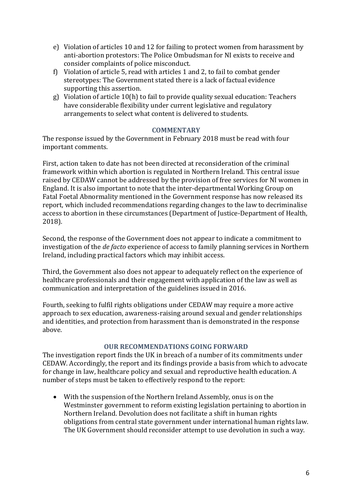- e) Violation of articles 10 and 12 for failing to protect women from harassment by anti-abortion protestors: The Police Ombudsman for NI exists to receive and consider complaints of police misconduct.
- f) Violation of article 5, read with articles 1 and 2, to fail to combat gender stereotypes: The Government stated there is a lack of factual evidence supporting this assertion.
- g) Violation of article 10(h) to fail to provide quality sexual education: Teachers have considerable flexibility under current legislative and regulatory arrangements to select what content is delivered to students.

#### **COMMENTARY**

The response issued by the Government in February 2018 must be read with four important comments.

First, action taken to date has not been directed at reconsideration of the criminal framework within which abortion is regulated in Northern Ireland. This central issue raised by CEDAW cannot be addressed by the provision of free services for NI women in England. It is also important to note that the inter-departmental Working Group on Fatal Foetal Abnormality mentioned in the Government response has now released its report, which included recommendations regarding changes to the law to decriminalise access to abortion in these circumstances (Department of Justice-Department of Health, 2018).

Second, the response of the Government does not appear to indicate a commitment to investigation of the *de facto* experience of access to family planning services in Northern Ireland, including practical factors which may inhibit access.

Third, the Government also does not appear to adequately reflect on the experience of healthcare professionals and their engagement with application of the law as well as communication and interpretation of the guidelines issued in 2016.

Fourth, seeking to fulfil rights obligations under CEDAW may require a more active approach to sex education, awareness-raising around sexual and gender relationships and identities, and protection from harassment than is demonstrated in the response above.

#### **OUR RECOMMENDATIONS GOING FORWARD**

The investigation report finds the UK in breach of a number of its commitments under CEDAW. Accordingly, the report and its findings provide a basis from which to advocate for change in law, healthcare policy and sexual and reproductive health education. A number of steps must be taken to effectively respond to the report:

 With the suspension of the Northern Ireland Assembly, onus is on the Westminster government to reform existing legislation pertaining to abortion in Northern Ireland. Devolution does not facilitate a shift in human rights obligations from central state government under international human rights law. The UK Government should reconsider attempt to use devolution in such a way.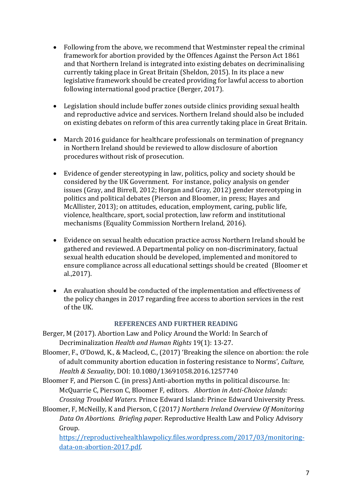- Following from the above, we recommend that Westminster repeal the criminal framework for abortion provided by the Offences Against the Person Act 1861 and that Northern Ireland is integrated into existing debates on decriminalising currently taking place in Great Britain (Sheldon, 2015). In its place a new legislative framework should be created providing for lawful access to abortion following international good practice (Berger, 2017).
- Legislation should include buffer zones outside clinics providing sexual health and reproductive advice and services. Northern Ireland should also be included on existing debates on reform of this area currently taking place in Great Britain.
- March 2016 guidance for healthcare professionals on termination of pregnancy in Northern Ireland should be reviewed to allow disclosure of abortion procedures without risk of prosecution.
- Evidence of gender stereotyping in law, politics, policy and society should be considered by the UK Government. For instance, policy analysis on gender issues (Gray, and Birrell, 2012; Horgan and Gray, 2012) gender stereotyping in politics and political debates (Pierson and Bloomer, in press; Hayes and McAllister, 2013); on attitudes, education, employment, caring, public life, violence, healthcare, sport, social protection, law reform and institutional mechanisms (Equality Commission Northern Ireland, 2016).
- Evidence on sexual health education practice across Northern Ireland should be gathered and reviewed. A Departmental policy on non-discriminatory, factual sexual health education should be developed, implemented and monitored to ensure compliance across all educational settings should be created (Bloomer et al.,2017).
- An evaluation should be conducted of the implementation and effectiveness of the policy changes in 2017 regarding free access to abortion services in the rest of the UK.

#### **REFERENCES AND FURTHER READING**

- Berger, M (2017). Abortion Law and Policy Around the World: In Search of Decriminalization *Health and Human Rights* 19(1): 13-27.
- Bloomer, F., O'Dowd, K., & Macleod, C., (2017) 'Breaking the silence on abortion: the role of adult community abortion education in fostering resistance to Norms', *Culture, Health & Sexuality*, DOI: 10.1080/13691058.2016.1257740
- Bloomer F, and Pierson C. (in press) Anti-abortion myths in political discourse. In: McQuarrie C, Pierson C, Bloomer F, editors. *Abortion in Anti-Choice Islands: Crossing Troubled Waters.* Prince Edward Island: Prince Edward University Press.
- Bloomer, F, McNeilly, K and Pierson, C (2017*) Northern Ireland Overview Of Monitoring Data On Abortions. Briefing paper.* Reproductive Health Law and Policy Advisory Group.

[https://reproductivehealthlawpolicy.files.wordpress.com/2017/03/monitoring](https://reproductivehealthlawpolicy.files.wordpress.com/2017/03/monitoring-data-on-abortion-2017.pdf)[data-on-abortion-2017.pdf.](https://reproductivehealthlawpolicy.files.wordpress.com/2017/03/monitoring-data-on-abortion-2017.pdf)